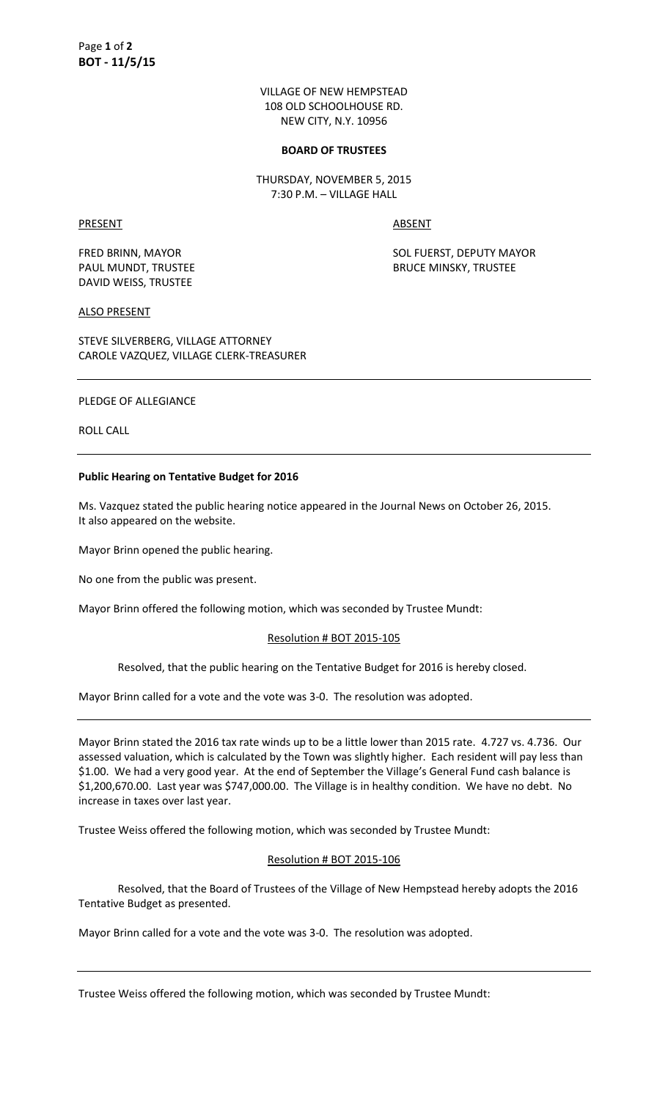VILLAGE OF NEW HEMPSTEAD 108 OLD SCHOOLHOUSE RD. NEW CITY, N.Y. 10956

#### **BOARD OF TRUSTEES**

THURSDAY, NOVEMBER 5, 2015 7:30 P.M. – VILLAGE HALL

## PRESENT ABSENT

DAVID WEISS, TRUSTEE

FRED BRINN, MAYOR SOL FUERST, DEPUTY MAYOR PAUL MUNDT, TRUSTEE **BRUCE MINSKY, TRUSTEE** 

## ALSO PRESENT

STEVE SILVERBERG, VILLAGE ATTORNEY CAROLE VAZQUEZ, VILLAGE CLERK-TREASURER

# PLEDGE OF ALLEGIANCE

ROLL CALL

### **Public Hearing on Tentative Budget for 2016**

Ms. Vazquez stated the public hearing notice appeared in the Journal News on October 26, 2015. It also appeared on the website.

Mayor Brinn opened the public hearing.

No one from the public was present.

Mayor Brinn offered the following motion, which was seconded by Trustee Mundt:

#### Resolution # BOT 2015-105

Resolved, that the public hearing on the Tentative Budget for 2016 is hereby closed.

Mayor Brinn called for a vote and the vote was 3-0. The resolution was adopted.

Mayor Brinn stated the 2016 tax rate winds up to be a little lower than 2015 rate. 4.727 vs. 4.736. Our assessed valuation, which is calculated by the Town was slightly higher. Each resident will pay less than \$1.00. We had a very good year. At the end of September the Village's General Fund cash balance is \$1,200,670.00. Last year was \$747,000.00. The Village is in healthy condition. We have no debt. No increase in taxes over last year.

Trustee Weiss offered the following motion, which was seconded by Trustee Mundt:

## Resolution # BOT 2015-106

 Resolved, that the Board of Trustees of the Village of New Hempstead hereby adopts the 2016 Tentative Budget as presented.

Mayor Brinn called for a vote and the vote was 3-0. The resolution was adopted.

Trustee Weiss offered the following motion, which was seconded by Trustee Mundt: